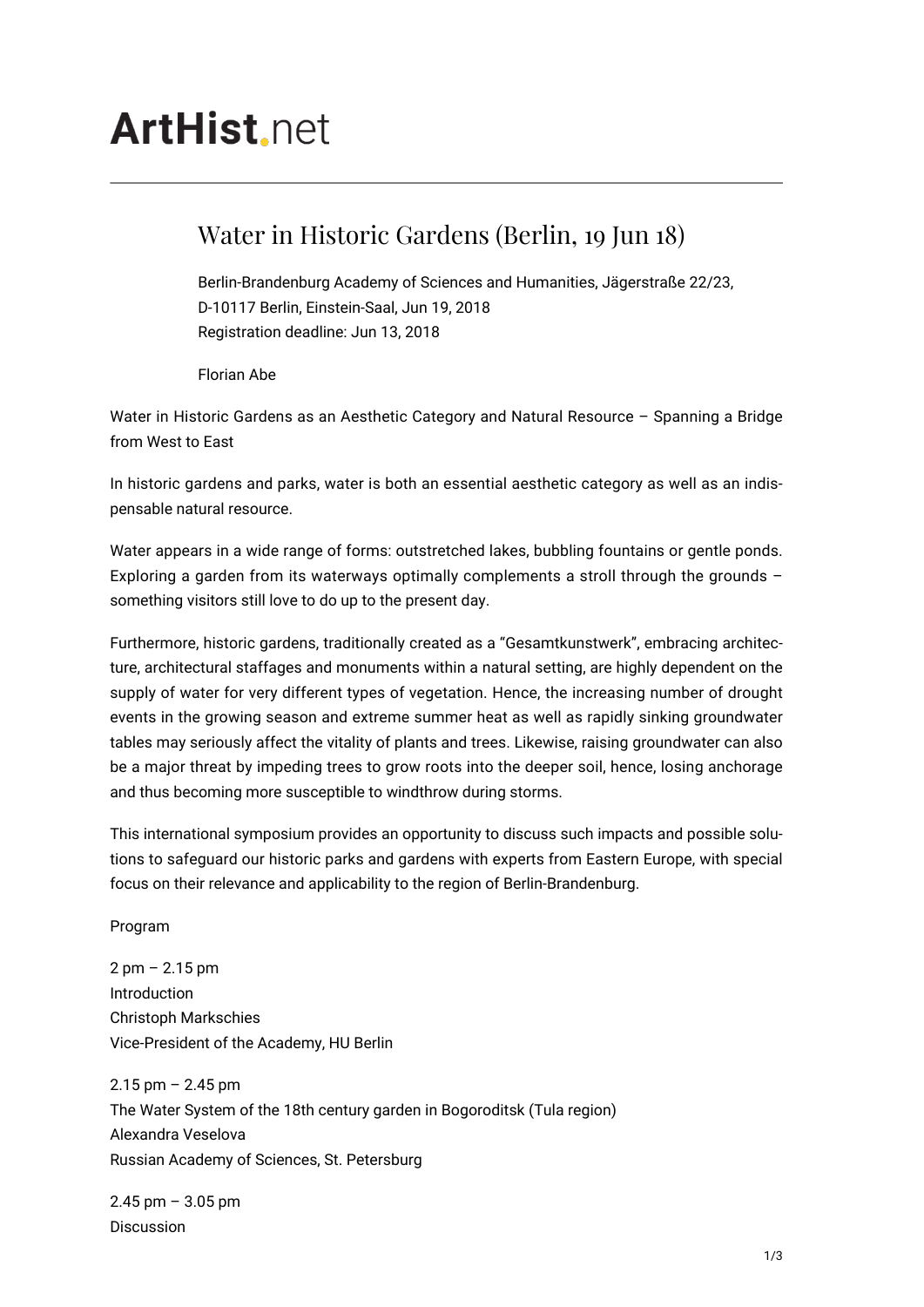## **ArtHist** net

## Water in Historic Gardens (Berlin, 19 Jun 18)

Berlin-Brandenburg Academy of Sciences and Humanities, Jägerstraße 22/23, D-10117 Berlin, Einstein-Saal, Jun 19, 2018 Registration deadline: Jun 13, 2018

Florian Abe

Water in Historic Gardens as an Aesthetic Category and Natural Resource – Spanning a Bridge from West to East

In historic gardens and parks, water is both an essential aesthetic category as well as an indispensable natural resource.

Water appears in a wide range of forms: outstretched lakes, bubbling fountains or gentle ponds. Exploring a garden from its waterways optimally complements a stroll through the grounds – something visitors still love to do up to the present day.

Furthermore, historic gardens, traditionally created as a "Gesamtkunstwerk", embracing architecture, architectural staffages and monuments within a natural setting, are highly dependent on the supply of water for very different types of vegetation. Hence, the increasing number of drought events in the growing season and extreme summer heat as well as rapidly sinking groundwater tables may seriously affect the vitality of plants and trees. Likewise, raising groundwater can also be a major threat by impeding trees to grow roots into the deeper soil, hence, losing anchorage and thus becoming more susceptible to windthrow during storms.

This international symposium provides an opportunity to discuss such impacts and possible solutions to safeguard our historic parks and gardens with experts from Eastern Europe, with special focus on their relevance and applicability to the region of Berlin-Brandenburg.

Program

2 pm – 2.15 pm Introduction Christoph Markschies Vice-President of the Academy, HU Berlin

 $2.15$  pm  $- 2.45$  pm The Water System of the 18th century garden in Bogoroditsk (Tula region) Alexandra Veselova Russian Academy of Sciences, St. Petersburg

 $2.45$  pm  $-3.05$  pm Discussion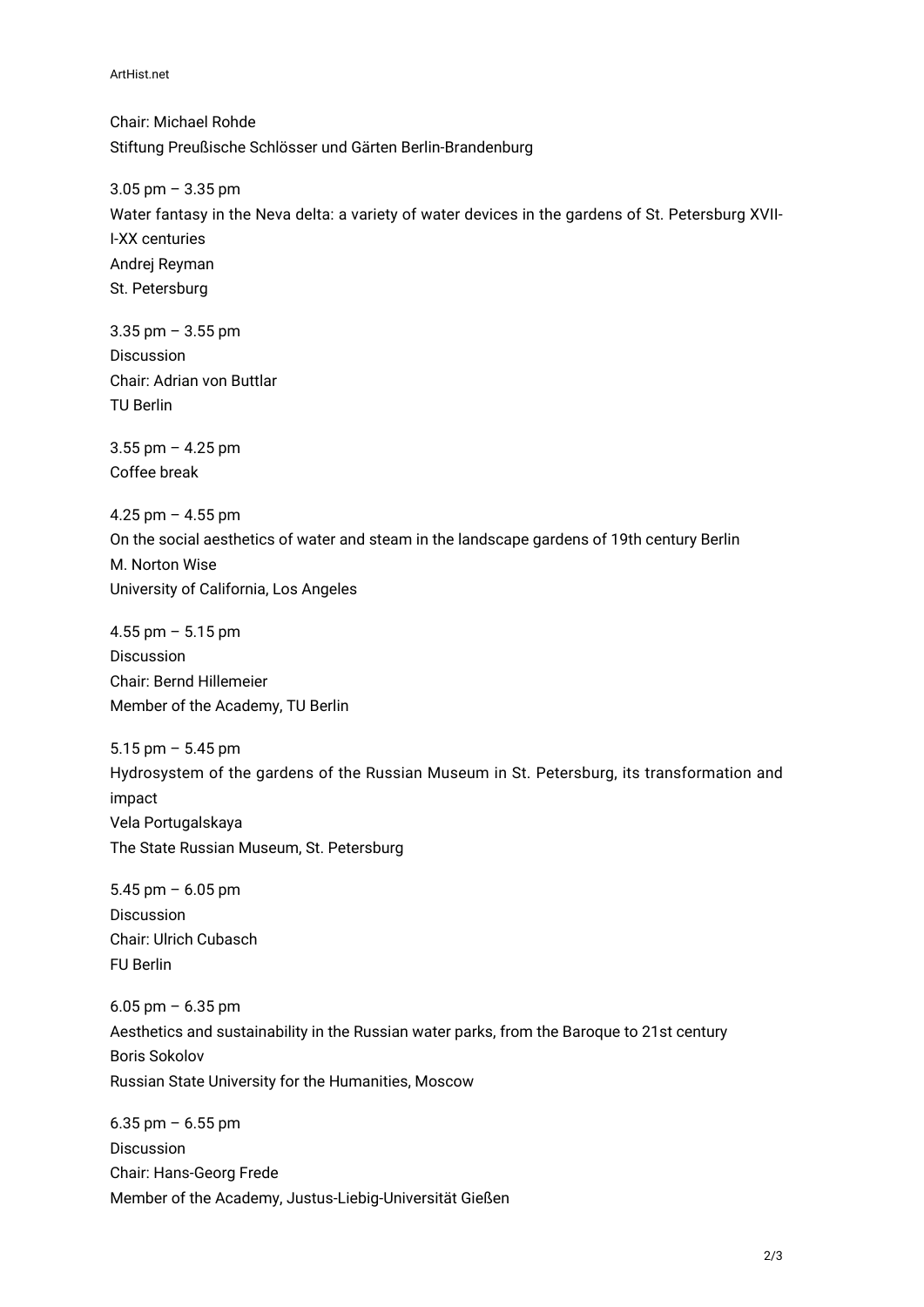ArtHist.net

Chair: Michael Rohde Stiftung Preußische Schlösser und Gärten Berlin-Brandenburg

3.05 pm – 3.35 pm Water fantasy in the Neva delta: a variety of water devices in the gardens of St. Petersburg XVII-I-XX centuries Andrej Reyman St. Petersburg

3.35 pm – 3.55 pm Discussion Chair: Adrian von Buttlar TU Berlin

3.55 pm – 4.25 pm Coffee break

4.25 pm – 4.55 pm On the social aesthetics of water and steam in the landscape gardens of 19th century Berlin M. Norton Wise University of California, Los Angeles

4.55 pm – 5.15 pm Discussion Chair: Bernd Hillemeier Member of the Academy, TU Berlin

5.15 pm – 5.45 pm Hydrosystem of the gardens of the Russian Museum in St. Petersburg, its transformation and impact Vela Portugalskaya The State Russian Museum, St. Petersburg

5.45 pm – 6.05 pm Discussion Chair: Ulrich Cubasch FU Berlin

6.05 pm – 6.35 pm Aesthetics and sustainability in the Russian water parks, from the Baroque to 21st century Boris Sokolov Russian State University for the Humanities, Moscow

6.35 pm – 6.55 pm Discussion Chair: Hans-Georg Frede Member of the Academy, Justus-Liebig-Universität Gießen